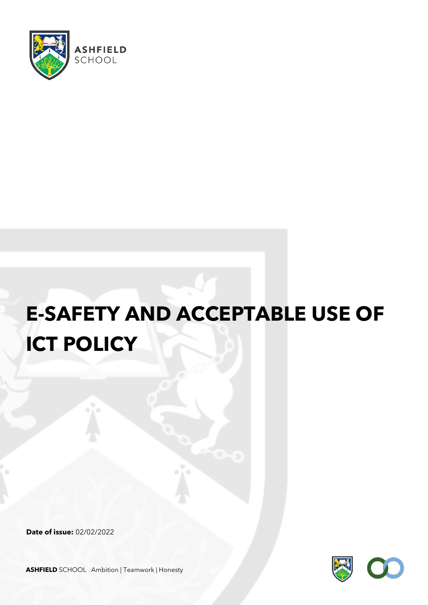

# **E-SAFETY AND ACCEPTABLE USE OF ICT POLICY**

**Date of issue:** 02/02/2022



**ASHFIELD** SCHOOL Ambition | Teamwork | Honesty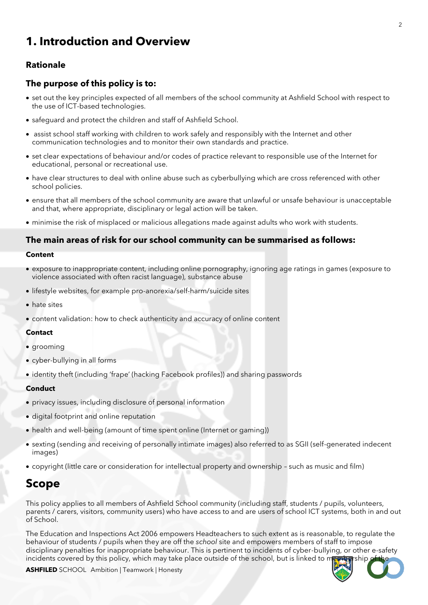# **1. Introduction and Overview**

## **Rationale**

#### **The purpose of this policy is to:**

- set out the key principles expected of all members of the school community at Ashfield School with respect to the use of ICT-based technologies.
- safeguard and protect the children and staff of Ashfield School.
- assist school staff working with children to work safely and responsibly with the Internet and other communication technologies and to monitor their own standards and practice.
- set clear expectations of behaviour and/or codes of practice relevant to responsible use of the Internet for educational, personal or recreational use.
- have clear structures to deal with online abuse such as cyberbullying which are cross referenced with other school policies.
- ensure that all members of the school community are aware that unlawful or unsafe behaviour is unacceptable and that, where appropriate, disciplinary or legal action will be taken.
- minimise the risk of misplaced or malicious allegations made against adults who work with students.

#### **The main areas of risk for our school community can be summarised as follows:**

#### **Content**

- exposure to inappropriate content, including online pornography, ignoring age ratings in games (exposure to violence associated with often racist language), substance abuse
- lifestyle websites, for example pro-anorexia/self-harm/suicide sites
- hate sites
- content validation: how to check authenticity and accuracy of online content

#### **Contact**

- grooming
- cyber-bullying in all forms
- identity theft (including 'frape' (hacking Facebook profiles)) and sharing passwords

#### **Conduct**

- privacy issues, including disclosure of personal information
- digital footprint and online reputation
- health and well-being (amount of time spent online (Internet or gaming))
- sexting (sending and receiving of personally intimate images) also referred to as SGII (self-generated indecent images)
- copyright (little care or consideration for intellectual property and ownership such as music and film)

# **Scope**

This policy applies to all members of Ashfield School community (including staff, students / pupils, volunteers, parents / carers, visitors, community users) who have access to and are users of school ICT systems, both in and out of School.

The Education and Inspections Act 2006 empowers Headteachers to such extent as is reasonable, to regulate the behaviour of students / pupils when they are off the *school* site and empowers members of staff to impose disciplinary penalties for inappropriate behaviour. This is pertinent to incidents of cyber-bullying, or other e-safety incidents covered by this policy, which may take place outside of the school, but is linked to new



**ASHFILED** SCHOOL Ambition | Teamwork | Honesty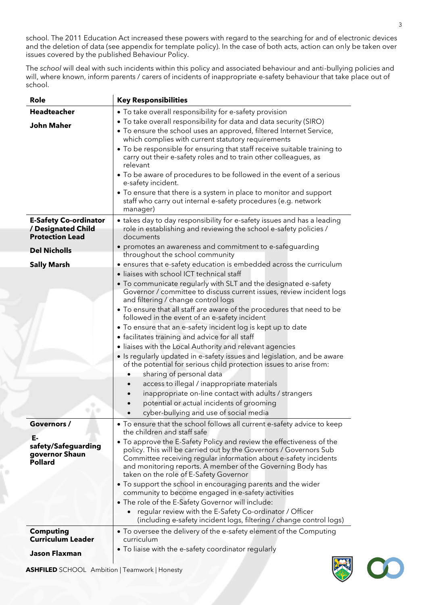school. The 2011 Education Act increased these powers with regard to the searching for and of electronic devices and the deletion of data (see appendix for template policy). In the case of both acts, action can only be taken over issues covered by the published Behaviour Policy.

The *school* will deal with such incidents within this policy and associated behaviour and anti-bullying policies and will, where known, inform parents / carers of incidents of inappropriate e-safety behaviour that take place out of school.

| Role                                                                         | <b>Key Responsibilities</b>                                                                                                                                                                                                                                                                                           |
|------------------------------------------------------------------------------|-----------------------------------------------------------------------------------------------------------------------------------------------------------------------------------------------------------------------------------------------------------------------------------------------------------------------|
| <b>Headteacher</b>                                                           | • To take overall responsibility for e-safety provision                                                                                                                                                                                                                                                               |
| <b>John Maher</b>                                                            | . To take overall responsibility for data and data security (SIRO)<br>• To ensure the school uses an approved, filtered Internet Service,<br>which complies with current statutory requirements                                                                                                                       |
|                                                                              | • To be responsible for ensuring that staff receive suitable training to<br>carry out their e-safety roles and to train other colleagues, as<br>relevant                                                                                                                                                              |
|                                                                              | • To be aware of procedures to be followed in the event of a serious<br>e-safety incident.                                                                                                                                                                                                                            |
|                                                                              | • To ensure that there is a system in place to monitor and support<br>staff who carry out internal e-safety procedures (e.g. network<br>manager)                                                                                                                                                                      |
| <b>E-Safety Co-ordinator</b><br>/ Designated Child<br><b>Protection Lead</b> | • takes day to day responsibility for e-safety issues and has a leading<br>role in establishing and reviewing the school e-safety policies /<br>documents                                                                                                                                                             |
| <b>Del Nicholls</b>                                                          | • promotes an awareness and commitment to e-safeguarding<br>throughout the school community                                                                                                                                                                                                                           |
| <b>Sally Marsh</b>                                                           | • ensures that e-safety education is embedded across the curriculum<br>· liaises with school ICT technical staff                                                                                                                                                                                                      |
|                                                                              | • To communicate regularly with SLT and the designated e-safety<br>Governor / committee to discuss current issues, review incident logs<br>and filtering / change control logs                                                                                                                                        |
|                                                                              | • To ensure that all staff are aware of the procedures that need to be<br>followed in the event of an e-safety incident                                                                                                                                                                                               |
|                                                                              | • To ensure that an e-safety incident log is kept up to date<br>• facilitates training and advice for all staff                                                                                                                                                                                                       |
|                                                                              | · liaises with the Local Authority and relevant agencies                                                                                                                                                                                                                                                              |
|                                                                              | • Is regularly updated in e-safety issues and legislation, and be aware<br>of the potential for serious child protection issues to arise from:                                                                                                                                                                        |
|                                                                              | sharing of personal data                                                                                                                                                                                                                                                                                              |
|                                                                              | access to illegal / inappropriate materials                                                                                                                                                                                                                                                                           |
|                                                                              | inappropriate on-line contact with adults / strangers                                                                                                                                                                                                                                                                 |
|                                                                              | potential or actual incidents of grooming<br>cyber-bullying and use of social media                                                                                                                                                                                                                                   |
| Governors /                                                                  | • To ensure that the school follows all current e-safety advice to keep<br>the children and staff safe                                                                                                                                                                                                                |
| Е-<br>safety/Safeguarding<br>governor Shaun<br>Pollard                       | • To approve the E-Safety Policy and review the effectiveness of the<br>policy. This will be carried out by the Governors / Governors Sub<br>Committee receiving regular information about e-safety incidents<br>and monitoring reports. A member of the Governing Body has<br>taken on the role of E-Safety Governor |
|                                                                              | • To support the school in encouraging parents and the wider<br>community to become engaged in e-safety activities<br>• The role of the E-Safety Governor will include:                                                                                                                                               |
|                                                                              | regular review with the E-Safety Co-ordinator / Officer<br>$\bullet$<br>(including e-safety incident logs, filtering / change control logs)                                                                                                                                                                           |
| <b>Computing</b><br><b>Curriculum Leader</b>                                 | • To oversee the delivery of the e-safety element of the Computing<br>curriculum                                                                                                                                                                                                                                      |
| <b>Jason Flaxman</b>                                                         | • To liaise with the e-safety coordinator regularly<br><b>Charles</b>                                                                                                                                                                                                                                                 |



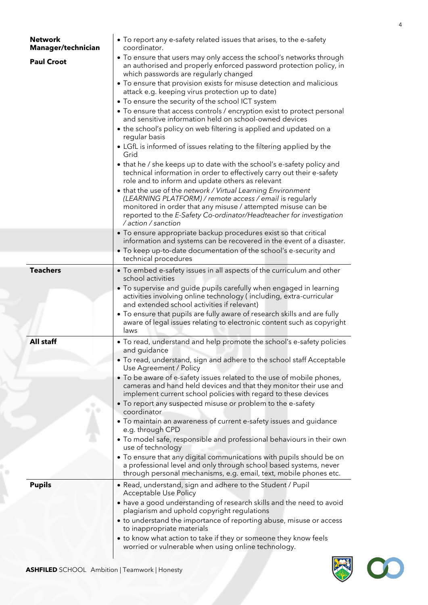| <b>Network</b><br>Manager/technician | • To report any e-safety related issues that arises, to the e-safety<br>coordinator.                                                                                                                                                                            |
|--------------------------------------|-----------------------------------------------------------------------------------------------------------------------------------------------------------------------------------------------------------------------------------------------------------------|
| <b>Paul Croot</b>                    | • To ensure that users may only access the school's networks through<br>an authorised and properly enforced password protection policy, in<br>which passwords are regularly changed                                                                             |
|                                      | • To ensure that provision exists for misuse detection and malicious<br>attack e.g. keeping virus protection up to date)                                                                                                                                        |
|                                      | • To ensure the security of the school ICT system<br>• To ensure that access controls / encryption exist to protect personal<br>and sensitive information held on school-owned devices                                                                          |
|                                      | • the school's policy on web filtering is applied and updated on a<br>regular basis                                                                                                                                                                             |
|                                      | • LGfL is informed of issues relating to the filtering applied by the<br>Grid                                                                                                                                                                                   |
|                                      | • that he / she keeps up to date with the school's e-safety policy and<br>technical information in order to effectively carry out their e-safety<br>role and to inform and update others as relevant                                                            |
|                                      | • that the use of the network / Virtual Learning Environment<br>(LEARNING PLATFORM) / remote access / email is regularly<br>monitored in order that any misuse / attempted misuse can be<br>reported to the E-Safety Co-ordinator/Headteacher for investigation |
|                                      | / action / sanction<br>• To ensure appropriate backup procedures exist so that critical                                                                                                                                                                         |
|                                      | information and systems can be recovered in the event of a disaster.                                                                                                                                                                                            |
|                                      | • To keep up-to-date documentation of the school's e-security and<br>technical procedures                                                                                                                                                                       |
| <b>Teachers</b>                      | • To embed e-safety issues in all aspects of the curriculum and other<br>school activities                                                                                                                                                                      |
|                                      | • To supervise and guide pupils carefully when engaged in learning<br>activities involving online technology (including, extra-curricular<br>and extended school activities if relevant)                                                                        |
|                                      | • To ensure that pupils are fully aware of research skills and are fully<br>aware of legal issues relating to electronic content such as copyright<br>laws                                                                                                      |
| All staff                            | • To read, understand and help promote the school's e-safety policies<br>and guidance                                                                                                                                                                           |
|                                      | • To read, understand, sign and adhere to the school staff Acceptable<br>Use Agreement / Policy                                                                                                                                                                 |
|                                      | • To be aware of e-safety issues related to the use of mobile phones,<br>cameras and hand held devices and that they monitor their use and<br>implement current school policies with regard to these devices                                                    |
|                                      | • To report any suspected misuse or problem to the e-safety<br>coordinator                                                                                                                                                                                      |
|                                      | • To maintain an awareness of current e-safety issues and guidance<br>e.g. through CPD                                                                                                                                                                          |
|                                      | . To model safe, responsible and professional behaviours in their own<br>use of technology                                                                                                                                                                      |
|                                      | • To ensure that any digital communications with pupils should be on<br>a professional level and only through school based systems, never<br>through personal mechanisms, e.g. email, text, mobile phones etc.                                                  |
| <b>Pupils</b>                        | • Read, understand, sign and adhere to the Student / Pupil<br>Acceptable Use Policy                                                                                                                                                                             |
|                                      | • have a good understanding of research skills and the need to avoid<br>plagiarism and uphold copyright regulations                                                                                                                                             |
|                                      | • to understand the importance of reporting abuse, misuse or access<br>to inappropriate materials                                                                                                                                                               |
|                                      | • to know what action to take if they or someone they know feels<br>worried or vulnerable when using online technology.                                                                                                                                         |

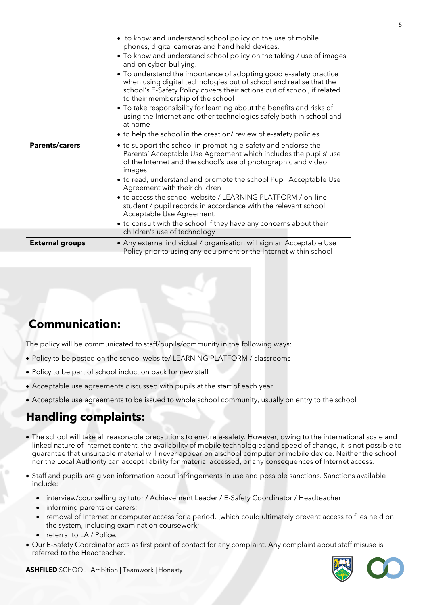|                        | • to know and understand school policy on the use of mobile<br>phones, digital cameras and hand held devices.<br>• To know and understand school policy on the taking / use of images<br>and on cyber-bullying.<br>• To understand the importance of adopting good e-safety practice<br>when using digital technologies out of school and realise that the<br>school's E-Safety Policy covers their actions out of school, if related<br>to their membership of the school<br>• To take responsibility for learning about the benefits and risks of<br>using the Internet and other technologies safely both in school and<br>at home |
|------------------------|---------------------------------------------------------------------------------------------------------------------------------------------------------------------------------------------------------------------------------------------------------------------------------------------------------------------------------------------------------------------------------------------------------------------------------------------------------------------------------------------------------------------------------------------------------------------------------------------------------------------------------------|
|                        | • to help the school in the creation/ review of e-safety policies                                                                                                                                                                                                                                                                                                                                                                                                                                                                                                                                                                     |
| <b>Parents/carers</b>  | • to support the school in promoting e-safety and endorse the<br>Parents' Acceptable Use Agreement which includes the pupils' use<br>of the Internet and the school's use of photographic and video<br>images<br>• to read, understand and promote the school Pupil Acceptable Use<br>Agreement with their children<br>• to access the school website / LEARNING PLATFORM / on-line<br>student / pupil records in accordance with the relevant school<br>Acceptable Use Agreement.<br>• to consult with the school if they have any concerns about their                                                                              |
|                        | children's use of technology                                                                                                                                                                                                                                                                                                                                                                                                                                                                                                                                                                                                          |
| <b>External groups</b> | • Any external individual / organisation will sign an Acceptable Use<br>Policy prior to using any equipment or the Internet within school                                                                                                                                                                                                                                                                                                                                                                                                                                                                                             |
|                        |                                                                                                                                                                                                                                                                                                                                                                                                                                                                                                                                                                                                                                       |

# **Communication:**

The policy will be communicated to staff/pupils/community in the following ways:

- Policy to be posted on the school website/ LEARNING PLATFORM / classrooms
- Policy to be part of school induction pack for new staff
- Acceptable use agreements discussed with pupils at the start of each year.
- Acceptable use agreements to be issued to whole school community, usually on entry to the school

# **Handling complaints:**

- The school will take all reasonable precautions to ensure e-safety. However, owing to the international scale and linked nature of Internet content, the availability of mobile technologies and speed of change, it is not possible to guarantee that unsuitable material will never appear on a school computer or mobile device. Neither the school nor the Local Authority can accept liability for material accessed, or any consequences of Internet access.
- Staff and pupils are given information about infringements in use and possible sanctions. Sanctions available include:
	- interview/counselling by tutor / Achievement Leader / E-Safety Coordinator / Headteacher;
	- informing parents or carers;
	- removal of Internet or computer access for a period, [which could ultimately prevent access to files held on the system, including examination coursework;
	- referral to LA / Police.
- Our E-Safety Coordinator acts as first point of contact for any complaint. Any complaint about staff misuse is referred to the Headteacher.



**ASHFILED** SCHOOL Ambition | Teamwork | Honesty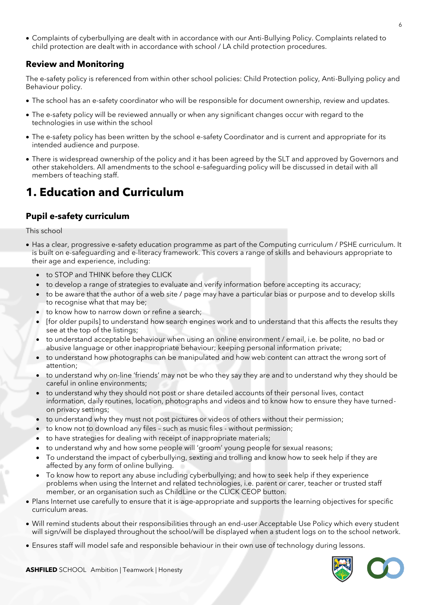• Complaints of cyberbullying are dealt with in accordance with our Anti-Bullying Policy. Complaints related to child protection are dealt with in accordance with school / LA child protection procedures.

## **Review and Monitoring**

The e-safety policy is referenced from within other school policies: Child Protection policy, Anti-Bullying policy and Behaviour policy.

- The school has an e-safety coordinator who will be responsible for document ownership, review and updates.
- The e-safety policy will be reviewed annually or when any significant changes occur with regard to the technologies in use within the school
- The e-safety policy has been written by the school e-safety Coordinator and is current and appropriate for its intended audience and purpose.
- There is widespread ownership of the policy and it has been agreed by the SLT and approved by Governors and other stakeholders. All amendments to the school e-safeguarding policy will be discussed in detail with all members of teaching staff.

# **1. Education and Curriculum**

## **Pupil e-safety curriculum**

#### This school

- Has a clear, progressive e-safety education programme as part of the Computing curriculum / PSHE curriculum. It is built on e-safeguarding and e-literacy framework. This covers a range of skills and behaviours appropriate to their age and experience, including:
	- to STOP and THINK before they CLICK
	- to develop a range of strategies to evaluate and verify information before accepting its accuracy;
	- to be aware that the author of a web site / page may have a particular bias or purpose and to develop skills to recognise what that may be;
	- to know how to narrow down or refine a search;
	- [for older pupils] to understand how search engines work and to understand that this affects the results they see at the top of the listings;
	- to understand acceptable behaviour when using an online environment / email, i.e. be polite, no bad or abusive language or other inappropriate behaviour; keeping personal information private;
	- to understand how photographs can be manipulated and how web content can attract the wrong sort of attention;
	- to understand why on-line 'friends' may not be who they say they are and to understand why they should be careful in online environments;
	- to understand why they should not post or share detailed accounts of their personal lives, contact information, daily routines, location, photographs and videos and to know how to ensure they have turnedon privacy settings;
	- to understand why they must not post pictures or videos of others without their permission;
	- to know not to download any files such as music files without permission;
	- to have strategies for dealing with receipt of inappropriate materials;
	- to understand why and how some people will 'groom' young people for sexual reasons;
	- To understand the impact of cyberbullying, sexting and trolling and know how to seek help if they are affected by any form of online bullying.
	- To know how to report any abuse including cyberbullying; and how to seek help if they experience problems when using the Internet and related technologies, i.e. parent or carer, teacher or trusted staff member, or an organisation such as ChildLine or the CLICK CEOP button.
- Plans Internet use carefully to ensure that it is age-appropriate and supports the learning objectives for specific curriculum areas.
- Will remind students about their responsibilities through an end-user Acceptable Use Policy which every student will sign/will be displayed throughout the school/will be displayed when a student logs on to the school network.
- Ensures staff will model safe and responsible behaviour in their own use of technology during lessons.

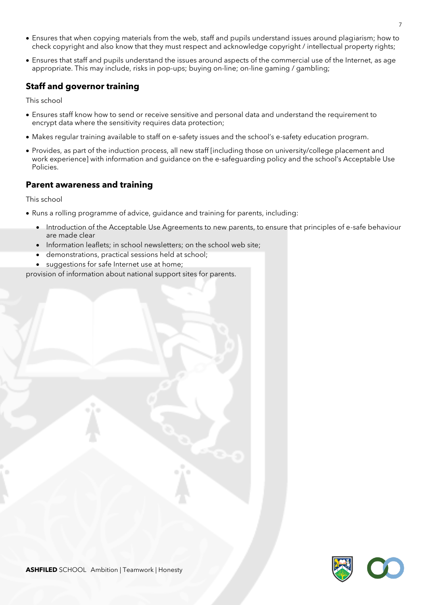- Ensures that when copying materials from the web, staff and pupils understand issues around plagiarism; how to check copyright and also know that they must respect and acknowledge copyright / intellectual property rights;
- Ensures that staff and pupils understand the issues around aspects of the commercial use of the Internet, as age appropriate. This may include, risks in pop-ups; buying on-line; on-line gaming / gambling;

## **Staff and governor training**

This school

- Ensures staff know how to send or receive sensitive and personal data and understand the requirement to encrypt data where the sensitivity requires data protection;
- Makes regular training available to staff on e-safety issues and the school's e-safety education program.
- Provides, as part of the induction process, all new staff [including those on university/college placement and work experience] with information and guidance on the e-safeguarding policy and the school's Acceptable Use Policies.

#### **Parent awareness and training**

This school

- Runs a rolling programme of advice, guidance and training for parents, including:
	- Introduction of the Acceptable Use Agreements to new parents, to ensure that principles of e-safe behaviour are made clear
	- Information leaflets; in school newsletters; on the school web site;
	- demonstrations, practical sessions held at school;
	- suggestions for safe Internet use at home;

provision of information about national support sites for parents.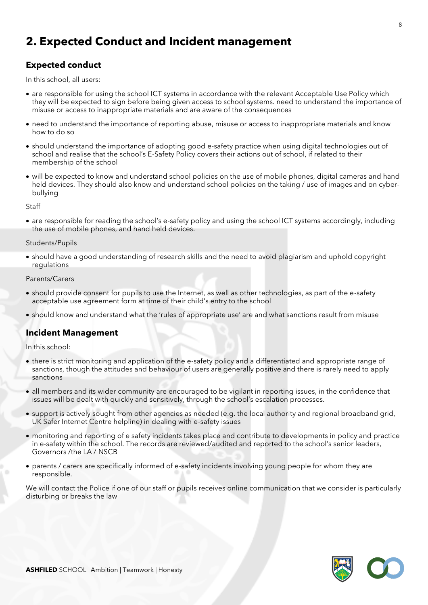# **2. Expected Conduct and Incident management**

## **Expected conduct**

In this school, all users:

- are responsible for using the school ICT systems in accordance with the relevant Acceptable Use Policy which they will be expected to sign before being given access to school systems. need to understand the importance of misuse or access to inappropriate materials and are aware of the consequences
- need to understand the importance of reporting abuse, misuse or access to inappropriate materials and know how to do so
- should understand the importance of adopting good e-safety practice when using digital technologies out of school and realise that the school's E-Safety Policy covers their actions out of school, if related to their membership of the school
- will be expected to know and understand school policies on the use of mobile phones, digital cameras and hand held devices. They should also know and understand school policies on the taking / use of images and on cyberbullying

**Staff** 

• are responsible for reading the school's e-safety policy and using the school ICT systems accordingly, including the use of mobile phones, and hand held devices.

#### Students/Pupils

• should have a good understanding of research skills and the need to avoid plagiarism and uphold copyright regulations

#### Parents/Carers

- should provide consent for pupils to use the Internet, as well as other technologies, as part of the e-safety acceptable use agreement form at time of their child's entry to the school
- should know and understand what the 'rules of appropriate use' are and what sanctions result from misuse

#### **Incident Management**

In this school:

- there is strict monitoring and application of the e-safety policy and a differentiated and appropriate range of sanctions, though the attitudes and behaviour of users are generally positive and there is rarely need to apply sanctions
- all members and its wider community are encouraged to be vigilant in reporting issues, in the confidence that issues will be dealt with quickly and sensitively, through the school's escalation processes.
- support is actively sought from other agencies as needed (e.g. the local authority and regional broadband grid, UK Safer Internet Centre helpline) in dealing with e-safety issues
- monitoring and reporting of e safety incidents takes place and contribute to developments in policy and practice in e-safety within the school. The records are reviewed/audited and reported to the school's senior leaders, Governors /the LA / NSCB
- parents / carers are specifically informed of e-safety incidents involving young people for whom they are responsible.

We will contact the Police if one of our staff or pupils receives online communication that we consider is particularly disturbing or breaks the law

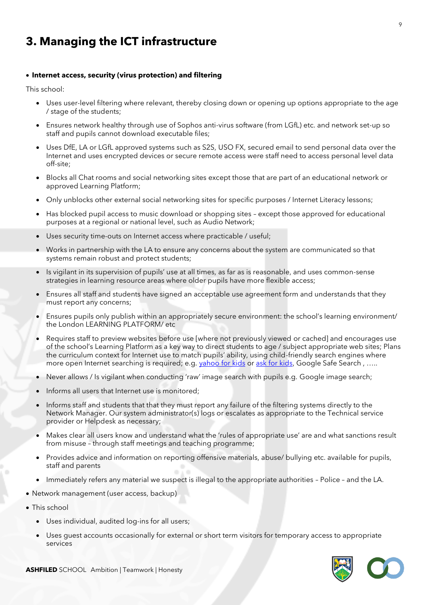# **3. Managing the ICT infrastructure**

#### • **Internet access, security (virus protection) and filtering**

This school:

- Uses user-level filtering where relevant, thereby closing down or opening up options appropriate to the age / stage of the students;
- Ensures network healthy through use of Sophos anti-virus software (from LGfL) etc. and network set-up so staff and pupils cannot download executable files;
- Uses DfE, LA or LGfL approved systems such as S2S, USO FX, secured email to send personal data over the Internet and uses encrypted devices or secure remote access were staff need to access personal level data off-site;
- Blocks all Chat rooms and social networking sites except those that are part of an educational network or approved Learning Platform;
- Only unblocks other external social networking sites for specific purposes / Internet Literacy lessons;
- Has blocked pupil access to music download or shopping sites except those approved for educational purposes at a regional or national level, such as Audio Network;
- Uses security time-outs on Internet access where practicable / useful;
- Works in partnership with the LA to ensure any concerns about the system are communicated so that systems remain robust and protect students;
- Is vigilant in its supervision of pupils' use at all times, as far as is reasonable, and uses common-sense strategies in learning resource areas where older pupils have more flexible access;
- Ensures all staff and students have signed an acceptable use agreement form and understands that they must report any concerns;
- Ensures pupils only publish within an appropriately secure environment: the school's learning environment/ the London LEARNING PLATFORM/ etc
- Requires staff to preview websites before use [where not previously viewed or cached] and encourages use of the school's Learning Platform as a key way to direct students to age / subject appropriate web sites; Plans the curriculum context for Internet use to match pupils' ability, using child-friendly search engines where more open Internet searching is required; e.g. [yahoo for kids](http://kids.yahoo.com/) or [ask for kids](http://www.askkids.com/), Google Safe Search, .....
- Never allows / Is vigilant when conducting 'raw' image search with pupils e.g. Google image search;
- Informs all users that Internet use is monitored:
- Informs staff and students that that they must report any failure of the filtering systems directly to the Network Manager. Our system administrator(s) logs or escalates as appropriate to the Technical service provider or Helpdesk as necessary;
- Makes clear all users know and understand what the 'rules of appropriate use' are and what sanctions result from misuse – through staff meetings and teaching programme;
- Provides advice and information on reporting offensive materials, abuse/ bullying etc. available for pupils, staff and parents
- Immediately refers any material we suspect is illegal to the appropriate authorities Police and the LA.
- Network management (user access, backup)
- This school
	- Uses individual, audited log-ins for all users;
	- Uses guest accounts occasionally for external or short term visitors for temporary access to appropriate services

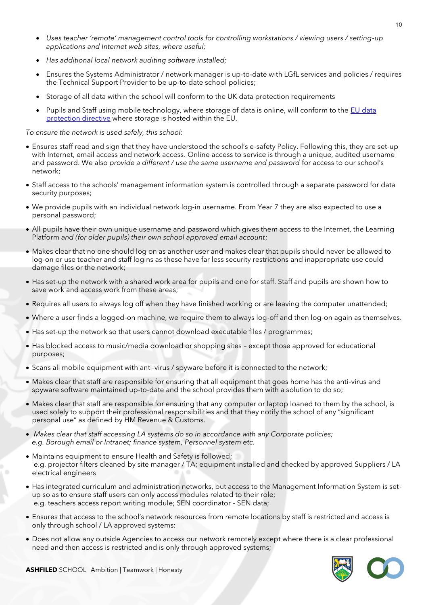- *Uses teacher 'remote' management control tools for controlling workstations / viewing users / setting-up applications and Internet web sites, where useful;*
- *Has additional local network auditing software installed;*
- Ensures the Systems Administrator / network manager is up-to-date with LGfL services and policies / requires the Technical Support Provider to be up-to-date school policies;
- Storage of all data within the school will conform to the UK data protection requirements
- Pupils and Staff using mobile technology, where storage of data is online, will conform to the EU data [protection directive](http://en.wikipedia.org/wiki/Data_Protection_Directive) where storage is hosted within the EU.

#### *To ensure the network is used safely, this school:*

- Ensures staff read and sign that they have understood the school's e-safety Policy. Following this, they are set-up with Internet, email access and network access. Online access to service is through a unique, audited username and password. We also *provide a different / use the same username and password* for access to our school's network;
- Staff access to the schools' management information system is controlled through a separate password for data security purposes;
- We provide pupils with an individual network log-in username. From Year 7 they are also expected to use a personal password;
- All pupils have their own unique username and password which gives them access to the Internet, the Learning Platform *and (for older pupils) their own school approved email account*;
- Makes clear that no one should log on as another user and makes clear that pupils should never be allowed to log-on or use teacher and staff logins as these have far less security restrictions and inappropriate use could damage files or the network;
- Has set-up the network with a shared work area for pupils and one for staff. Staff and pupils are shown how to save work and access work from these areas;
- Requires all users to always log off when they have finished working or are leaving the computer unattended;
- Where a user finds a logged-on machine, we require them to always log-off and then log-on again as themselves.
- Has set-up the network so that users cannot download executable files / programmes;
- Has blocked access to music/media download or shopping sites except those approved for educational purposes;
- Scans all mobile equipment with anti-virus / spyware before it is connected to the network;
- Makes clear that staff are responsible for ensuring that all equipment that goes home has the anti-virus and spyware software maintained up-to-date and the school provides them with a solution to do so;
- Makes clear that staff are responsible for ensuring that any computer or laptop loaned to them by the school, is used solely to support their professional responsibilities and that they notify the school of any "significant personal use" as defined by HM Revenue & Customs.
- *Makes clear that staff accessing LA systems do so in accordance with any Corporate policies; e.g. Borough email or Intranet; finance system, Personnel system etc.*
- Maintains equipment to ensure Health and Safety is followed; e.g. projector filters cleaned by site manager / TA; equipment installed and checked by approved Suppliers / LA electrical engineers
- Has integrated curriculum and administration networks, but access to the Management Information System is setup so as to ensure staff users can only access modules related to their role; e.g. teachers access report writing module; SEN coordinator - SEN data;
- Ensures that access to the school's network resources from remote locations by staff is restricted and access is only through school / LA approved systems:
- Does not allow any outside Agencies to access our network remotely except where there is a clear professional need and then access is restricted and is only through approved systems;

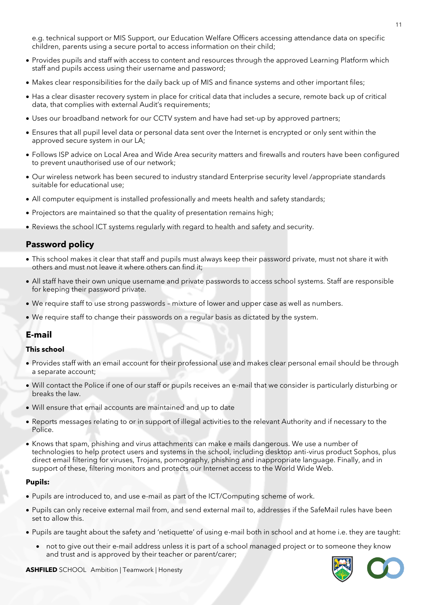e.g. technical support or MIS Support, our Education Welfare Officers accessing attendance data on specific children, parents using a secure portal to access information on their child;

- Provides pupils and staff with access to content and resources through the approved Learning Platform which staff and pupils access using their username and password;
- Makes clear responsibilities for the daily back up of MIS and finance systems and other important files;
- Has a clear disaster recovery system in place for critical data that includes a secure, remote back up of critical data, that complies with external Audit's requirements;
- Uses our broadband network for our CCTV system and have had set-up by approved partners;
- Ensures that all pupil level data or personal data sent over the Internet is encrypted or only sent within the approved secure system in our LA;
- Follows ISP advice on Local Area and Wide Area security matters and firewalls and routers have been configured to prevent unauthorised use of our network;
- Our wireless network has been secured to industry standard Enterprise security level /appropriate standards suitable for educational use;
- All computer equipment is installed professionally and meets health and safety standards;
- Projectors are maintained so that the quality of presentation remains high;
- Reviews the school ICT systems regularly with regard to health and safety and security.

#### **Password policy**

- This school makes it clear that staff and pupils must always keep their password private, must not share it with others and must not leave it where others can find it;
- All staff have their own unique username and private passwords to access school systems. Staff are responsible for keeping their password private.
- We require staff to use strong passwords mixture of lower and upper case as well as numbers.
- We require staff to change their passwords on a regular basis as dictated by the system.

#### **E-mail**

#### **This school**

- Provides staff with an email account for their professional use and makes clear personal email should be through a separate account;
- Will contact the Police if one of our staff or pupils receives an e-mail that we consider is particularly disturbing or breaks the law.
- Will ensure that email accounts are maintained and up to date
- Reports messages relating to or in support of illegal activities to the relevant Authority and if necessary to the Police.
- Knows that spam, phishing and virus attachments can make e mails dangerous. We use a number of technologies to help protect users and systems in the school, including desktop anti-virus product Sophos, plus direct email filtering for viruses, Trojans, pornography, phishing and inappropriate language. Finally, and in support of these, filtering monitors and protects our Internet access to the World Wide Web.

#### **Pupils:**

- Pupils are introduced to, and use e-mail as part of the ICT/Computing scheme of work.
- Pupils can only receive external mail from, and send external mail to, addresses if the SafeMail rules have been set to allow this.
- Pupils are taught about the safety and 'netiquette' of using e-mail both in school and at home i.e. they are taught:
	- not to give out their e-mail address unless it is part of a school managed project or to someone they know and trust and is approved by their teacher or parent/carer;

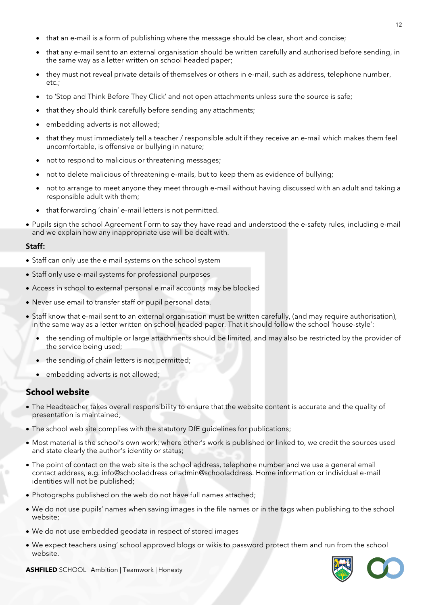- that an e-mail is a form of publishing where the message should be clear, short and concise;
- that any e-mail sent to an external organisation should be written carefully and authorised before sending, in the same way as a letter written on school headed paper;
- they must not reveal private details of themselves or others in e-mail, such as address, telephone number, etc.;
- to 'Stop and Think Before They Click' and not open attachments unless sure the source is safe;
- that they should think carefully before sending any attachments;
- embedding adverts is not allowed:
- that they must immediately tell a teacher / responsible adult if they receive an e-mail which makes them feel uncomfortable, is offensive or bullying in nature;
- not to respond to malicious or threatening messages;
- not to delete malicious of threatening e-mails, but to keep them as evidence of bullying;
- not to arrange to meet anyone they meet through e-mail without having discussed with an adult and taking a responsible adult with them;
- that forwarding 'chain' e-mail letters is not permitted.
- Pupils sign the school Agreement Form to say they have read and understood the e-safety rules, including e-mail and we explain how any inappropriate use will be dealt with.

#### **Staff:**

- Staff can only use the e mail systems on the school system
- Staff only use e-mail systems for professional purposes
- Access in school to external personal e mail accounts may be blocked
- Never use email to transfer staff or pupil personal data.
- Staff know that e-mail sent to an external organisation must be written carefully, (and may require authorisation), in the same way as a letter written on school headed paper. That it should follow the school 'house-style':
	- the sending of multiple or large attachments should be limited, and may also be restricted by the provider of the service being used;
	- the sending of chain letters is not permitted;
	- embedding adverts is not allowed;

#### **School website**

- The Headteacher takes overall responsibility to ensure that the website content is accurate and the quality of presentation is maintained;
- The school web site complies with the [statutory DfE guidelines for publications;](http://www.education.gov.uk/aboutdfe/advice/f00215241/school-information)
- Most material is the school's own work; where other's work is published or linked to, we credit the sources used and state clearly the author's identity or status;
- The point of contact on the web site is the school address, telephone number and we use a general email contact address, e.g. info@schooladdress or admin@schooladdress. Home information or individual e-mail identities will not be published;
- Photographs published on the web do not have full names attached;
- We do not use pupils' names when saving images in the file names or in the tags when publishing to the school website;
- We do not use embedded geodata in respect of stored images
- We expect teachers using' school approved blogs or wikis to password protect them and run from the school website.

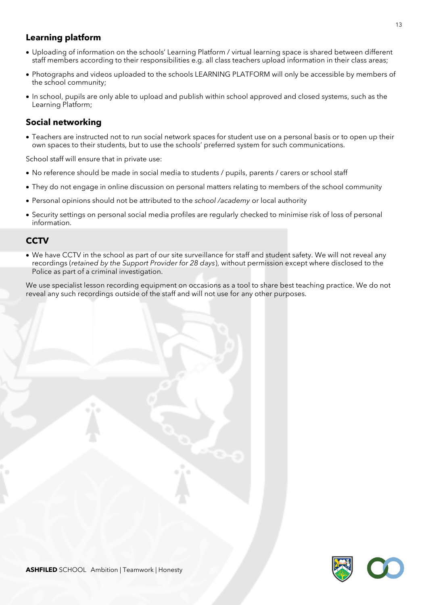## **Learning platform**

- Uploading of information on the schools' Learning Platform / virtual learning space is shared between different staff members according to their responsibilities e.g. all class teachers upload information in their class areas;
- Photographs and videos uploaded to the schools LEARNING PLATFORM will only be accessible by members of the school community;
- In school, pupils are only able to upload and publish within school approved and closed systems, such as the Learning Platform;

## **Social networking**

• Teachers are instructed not to run social network spaces for student use on a personal basis or to open up their own spaces to their students, but to use the schools' preferred system for such communications.

School staff will ensure that in private use:

- No reference should be made in social media to students / pupils, parents / carers or school staff
- They do not engage in online discussion on personal matters relating to members of the school community
- Personal opinions should not be attributed to the *school /academy* or local authority
- Security settings on personal social media profiles are regularly checked to minimise risk of loss of personal information.

#### **CCTV**

• We have CCTV in the school as part of our site surveillance for staff and student safety. We will not reveal any recordings (*retained by the Support Provider for 28 days*), without permission except where disclosed to the Police as part of a criminal investigation.

We use specialist lesson recording equipment on occasions as a tool to share best teaching practice. We do not reveal any such recordings outside of the staff and will not use for any other purposes.

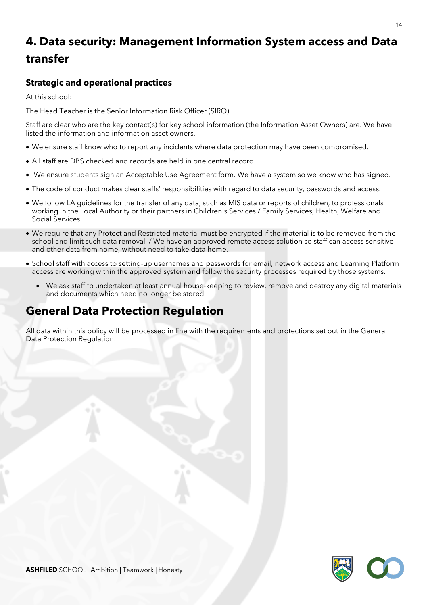# **4. Data security: Management Information System access and Data transfer**

## **Strategic and operational practices**

At this school:

The Head Teacher is the Senior Information Risk Officer (SIRO).

Staff are clear who are the key contact(s) for key school information (the Information Asset Owners) are. We have listed the information and information asset owners.

- We ensure staff know who to report any incidents where data protection may have been compromised.
- All staff are DBS checked and records are held in one central record.
- We ensure students sign an Acceptable Use Agreement form. We have a system so we know who has signed.
- The code of conduct makes clear staffs' responsibilities with regard to data security, passwords and access.
- We follow LA guidelines for the transfer of any data, such as MIS data or reports of children, to professionals working in the Local Authority or their partners in Children's Services / Family Services, Health, Welfare and Social Services.
- We require that any Protect and Restricted material must be encrypted if the material is to be removed from the school and limit such data removal. / We have an approved remote access solution so staff can access sensitive and other data from home, without need to take data home.
- School staff with access to setting-up usernames and passwords for email, network access and Learning Platform access are working within the approved system and follow the security processes required by those systems.
	- We ask staff to undertaken at least annual house-keeping to review, remove and destroy any digital materials and documents which need no longer be stored.

# **General Data Protection Regulation**

All data within this policy will be processed in line with the requirements and protections set out in the General Data Protection Regulation.

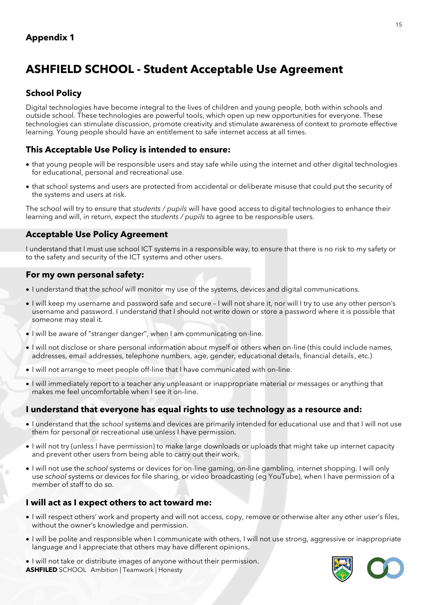# **ASHFIELD SCHOOL - Student Acceptable Use Agreement**

## **School Policy**

Digital technologies have become integral to the lives of children and young people, both within schools and outside school. These technologies are powerful tools, which open up new opportunities for everyone. These technologies can stimulate discussion, promote creativity and stimulate awareness of context to promote effective learning. Young people should have an entitlement to safe internet access at all times.

## **This Acceptable Use Policy is intended to ensure:**

- that young people will be responsible users and stay safe while using the internet and other digital technologies for educational, personal and recreational use.
- that school systems and users are protected from accidental or deliberate misuse that could put the security of the systems and users at risk.

The school will try to ensure that *students / pupils* will have good access to digital technologies to enhance their learning and will, in return, expect the *students / pupils* to agree to be responsible users.

## **Acceptable Use Policy Agreement**

I understand that I must use school ICT systems in a responsible way, to ensure that there is no risk to my safety or to the safety and security of the ICT systems and other users.

#### **For my own personal safety:**

- I understand that the *school* will monitor my use of the systems, devices and digital communications.
- I will keep my username and password safe and secure I will not share it, nor will I try to use any other person's username and password. I understand that I should not write down or store a password where it is possible that someone may steal it.
- I will be aware of "stranger danger", when I am communicating on-line.
- I will not disclose or share personal information about myself or others when on-line (this could include names, addresses, email addresses, telephone numbers, age, gender, educational details, financial details, etc.)
- I will not arrange to meet people off-line that I have communicated with on-line.
- I will immediately report to a teacher any unpleasant or inappropriate material or messages or anything that makes me feel uncomfortable when I see it on-line.

## **I understand that everyone has equal rights to use technology as a resource and:**

- I understand that the *school* systems and devices are primarily intended for educational use and that I will not use them for personal or recreational use unless I have permission.
- I will not try (unless I have permission) to make large downloads or uploads that might take up internet capacity and prevent other users from being able to carry out their work.
- I will not use the *school* systems or devices for on-line gaming, on-line gambling, internet shopping. I will only use *school* systems or devices for file sharing, or video broadcasting (eg YouTube), when I have permission of a member of staff to do so.

## **I will act as I expect others to act toward me:**

- I will respect others' work and property and will not access, copy, remove or otherwise alter any other user's files, without the owner's knowledge and permission.
- I will be polite and responsible when I communicate with others, I will not use strong, aggressive or inappropriate language and I appreciate that others may have different opinions.
- **ASHFILED** SCHOOL Ambition | Teamwork | Honesty • I will not take or distribute images of anyone without their permission.

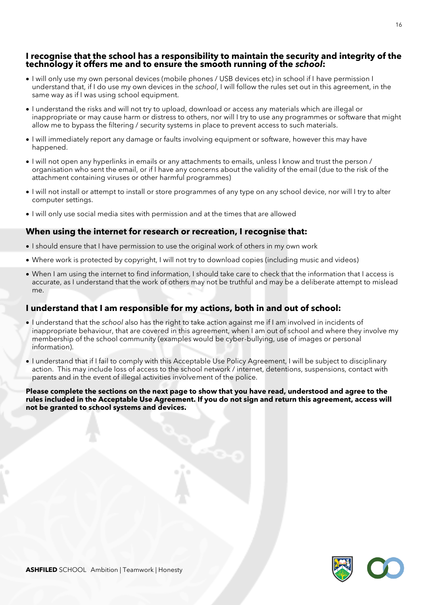#### **I recognise that the school has a responsibility to maintain the security and integrity of the technology it offers me and to ensure the smooth running of the** *school***:**

- I will only use my own personal devices (mobile phones / USB devices etc) in school if I have permission I understand that, if I do use my own devices in the *school*, I will follow the rules set out in this agreement, in the same way as if I was using school equipment.
- I understand the risks and will not try to upload, download or access any materials which are illegal or inappropriate or may cause harm or distress to others, nor will I try to use any programmes or software that might allow me to bypass the filtering / security systems in place to prevent access to such materials.
- I will immediately report any damage or faults involving equipment or software, however this may have happened.
- I will not open any hyperlinks in emails or any attachments to emails, unless I know and trust the person / organisation who sent the email, or if I have any concerns about the validity of the email (due to the risk of the attachment containing viruses or other harmful programmes)
- I will not install or attempt to install or store programmes of any type on any school device, nor will I try to alter computer settings.
- I will only use social media sites with permission and at the times that are allowed

#### **When using the internet for research or recreation, I recognise that:**

- I should ensure that I have permission to use the original work of others in my own work
- Where work is protected by copyright, I will not try to download copies (including music and videos)
- When I am using the internet to find information, I should take care to check that the information that I access is accurate, as I understand that the work of others may not be truthful and may be a deliberate attempt to mislead me.

#### **I understand that I am responsible for my actions, both in and out of school:**

- I understand that the *school* also has the right to take action against me if I am involved in incidents of inappropriate behaviour, that are covered in this agreement, when I am out of school and where they involve my membership of the school community (examples would be cyber-bullying, use of images or personal information).
- I understand that if I fail to comply with this Acceptable Use Policy Agreement, I will be subject to disciplinary action. This may include loss of access to the school network / internet, detentions, suspensions, contact with parents and in the event of illegal activities involvement of the police.

**Please complete the sections on the next page to show that you have read, understood and agree to the rules included in the Acceptable Use Agreement. If you do not sign and return this agreement, access will not be granted to school systems and devices.**